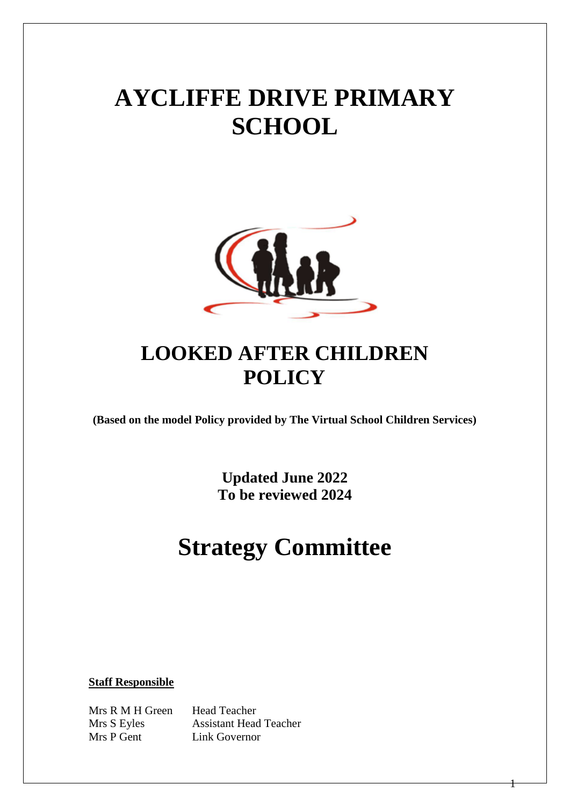# **AYCLIFFE DRIVE PRIMARY SCHOOL**



# **LOOKED AFTER CHILDREN POLICY**

**(Based on the model Policy provided by The Virtual School Children Services)**

**Updated June 2022 To be reviewed 2024**

# **Strategy Committee**

1

**Staff Responsible**

Mrs R M H Green Head Teacher Mrs P Gent Link Governor

Mrs S Eyles Assistant Head Teacher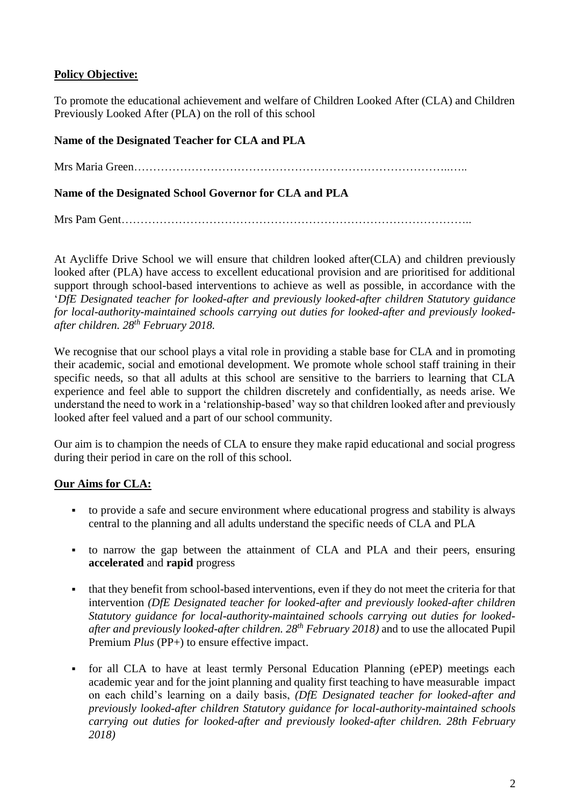# **Policy Objective:**

To promote the educational achievement and welfare of Children Looked After (CLA) and Children Previously Looked After (PLA) on the roll of this school

# **Name of the Designated Teacher for CLA and PLA**

Mrs Maria Green………………………………………………………………………..…..

### **Name of the Designated School Governor for CLA and PLA**

Mrs Pam Gent………………………………………………………………………………..

At Aycliffe Drive School we will ensure that children looked after(CLA) and children previously looked after (PLA) have access to excellent educational provision and are prioritised for additional support through school-based interventions to achieve as well as possible, in accordance with the '*DfE Designated teacher for looked-after and previously looked-after children Statutory guidance for local-authority-maintained schools carrying out duties for looked-after and previously lookedafter children. 28th February 2018.*

We recognise that our school plays a vital role in providing a stable base for CLA and in promoting their academic, social and emotional development. We promote whole school staff training in their specific needs, so that all adults at this school are sensitive to the barriers to learning that CLA experience and feel able to support the children discretely and confidentially, as needs arise. We understand the need to work in a 'relationship-based' way so that children looked after and previously looked after feel valued and a part of our school community.

Our aim is to champion the needs of CLA to ensure they make rapid educational and social progress during their period in care on the roll of this school.

### **Our Aims for CLA:**

- to provide a safe and secure environment where educational progress and stability is always central to the planning and all adults understand the specific needs of CLA and PLA
- to narrow the gap between the attainment of CLA and PLA and their peers, ensuring **accelerated** and **rapid** progress
- that they benefit from school-based interventions, even if they do not meet the criteria for that intervention *(DfE Designated teacher for looked-after and previously looked-after children Statutory guidance for local-authority-maintained schools carrying out duties for lookedafter and previously looked-after children. 28th February 2018)* and to use the allocated Pupil Premium *Plus* (PP+) to ensure effective impact.
- for all CLA to have at least termly Personal Education Planning (ePEP) meetings each academic year and for the joint planning and quality first teaching to have measurable impact on each child's learning on a daily basis, *(DfE Designated teacher for looked-after and previously looked-after children Statutory guidance for local-authority-maintained schools carrying out duties for looked-after and previously looked-after children. 28th February 2018)*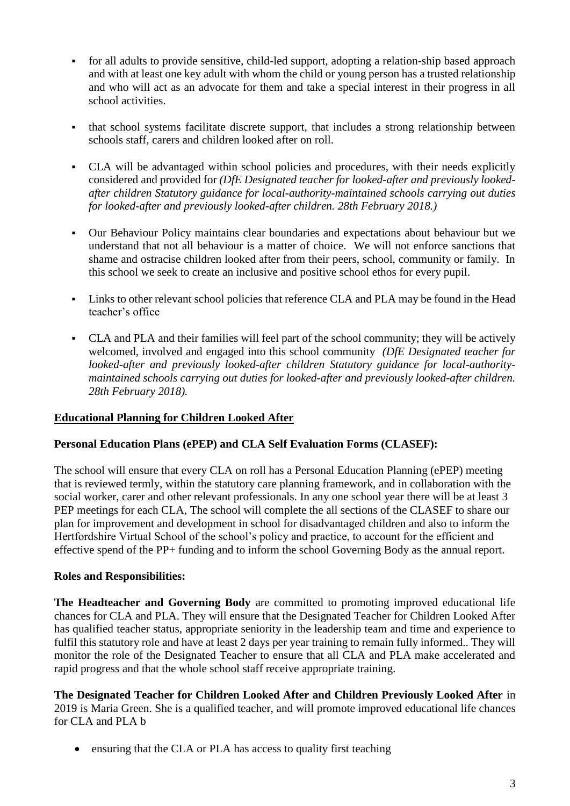- for all adults to provide sensitive, child-led support, adopting a relation-ship based approach and with at least one key adult with whom the child or young person has a trusted relationship and who will act as an advocate for them and take a special interest in their progress in all school activities.
- that school systems facilitate discrete support, that includes a strong relationship between schools staff, carers and children looked after on roll.
- CLA will be advantaged within school policies and procedures, with their needs explicitly considered and provided for *(DfE Designated teacher for looked-after and previously lookedafter children Statutory guidance for local-authority-maintained schools carrying out duties for looked-after and previously looked-after children. 28th February 2018.)*
- Our Behaviour Policy maintains clear boundaries and expectations about behaviour but we understand that not all behaviour is a matter of choice. We will not enforce sanctions that shame and ostracise children looked after from their peers, school, community or family. In this school we seek to create an inclusive and positive school ethos for every pupil.
- Links to other relevant school policies that reference CLA and PLA may be found in the Head teacher's office
- CLA and PLA and their families will feel part of the school community; they will be actively welcomed, involved and engaged into this school community *(DfE Designated teacher for looked-after and previously looked-after children Statutory guidance for local-authoritymaintained schools carrying out duties for looked-after and previously looked-after children. 28th February 2018).*

# **Educational Planning for Children Looked After**

### **Personal Education Plans (ePEP) and CLA Self Evaluation Forms (CLASEF):**

The school will ensure that every CLA on roll has a Personal Education Planning (ePEP) meeting that is reviewed termly, within the statutory care planning framework, and in collaboration with the social worker, carer and other relevant professionals. In any one school year there will be at least 3 PEP meetings for each CLA, The school will complete the all sections of the CLASEF to share our plan for improvement and development in school for disadvantaged children and also to inform the Hertfordshire Virtual School of the school's policy and practice, to account for the efficient and effective spend of the PP+ funding and to inform the school Governing Body as the annual report.

### **Roles and Responsibilities:**

**The Headteacher and Governing Body** are committed to promoting improved educational life chances for CLA and PLA. They will ensure that the Designated Teacher for Children Looked After has qualified teacher status, appropriate seniority in the leadership team and time and experience to fulfil this statutory role and have at least 2 days per year training to remain fully informed.. They will monitor the role of the Designated Teacher to ensure that all CLA and PLA make accelerated and rapid progress and that the whole school staff receive appropriate training.

**The Designated Teacher for Children Looked After and Children Previously Looked After** in 2019 is Maria Green. She is a qualified teacher, and will promote improved educational life chances for CLA and PLA b

ensuring that the CLA or PLA has access to quality first teaching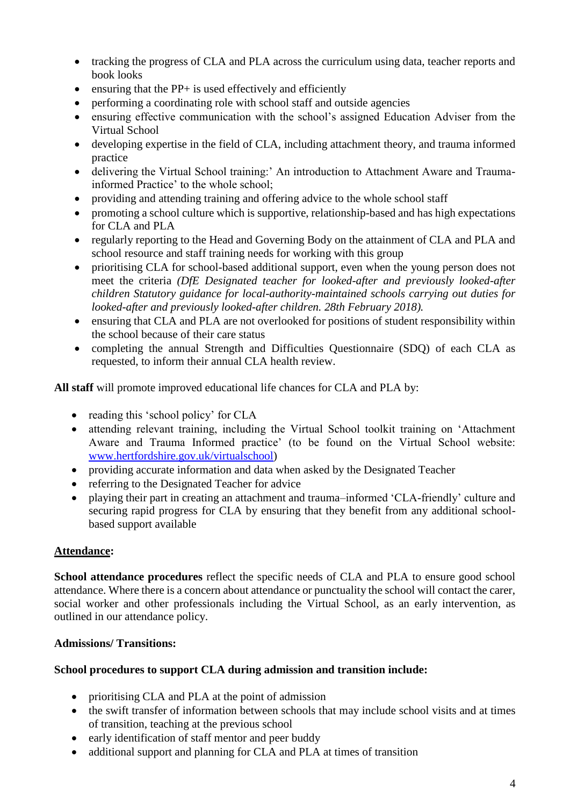- tracking the progress of CLA and PLA across the curriculum using data, teacher reports and book looks
- $\bullet$  ensuring that the PP+ is used effectively and efficiently
- performing a coordinating role with school staff and outside agencies
- ensuring effective communication with the school's assigned Education Adviser from the Virtual School
- developing expertise in the field of CLA, including attachment theory, and trauma informed practice
- delivering the Virtual School training:' An introduction to Attachment Aware and Traumainformed Practice' to the whole school;
- providing and attending training and offering advice to the whole school staff
- promoting a school culture which is supportive, relationship-based and has high expectations for CLA and PLA
- regularly reporting to the Head and Governing Body on the attainment of CLA and PLA and school resource and staff training needs for working with this group
- prioritising CLA for school-based additional support, even when the young person does not meet the criteria *(DfE Designated teacher for looked-after and previously looked-after children Statutory guidance for local-authority-maintained schools carrying out duties for looked-after and previously looked-after children. 28th February 2018).*
- ensuring that CLA and PLA are not overlooked for positions of student responsibility within the school because of their care status
- completing the annual Strength and Difficulties Questionnaire (SDQ) of each CLA as requested, to inform their annual CLA health review.

**All staff** will promote improved educational life chances for CLA and PLA by:

- reading this 'school policy' for CLA
- attending relevant training, including the Virtual School toolkit training on 'Attachment Aware and Trauma Informed practice' (to be found on the Virtual School website: [www.hertfordshire.gov.uk/virtualschool\)](http://www.hertfordshire.gov.uk/virtualschool)
- providing accurate information and data when asked by the Designated Teacher
- referring to the Designated Teacher for advice
- playing their part in creating an attachment and trauma–informed 'CLA-friendly' culture and securing rapid progress for CLA by ensuring that they benefit from any additional schoolbased support available

# **Attendance:**

**School attendance procedures** reflect the specific needs of CLA and PLA to ensure good school attendance. Where there is a concern about attendance or punctuality the school will contact the carer, social worker and other professionals including the Virtual School, as an early intervention, as outlined in our attendance policy.

# **Admissions/ Transitions:**

# **School procedures to support CLA during admission and transition include:**

- prioritising CLA and PLA at the point of admission
- the swift transfer of information between schools that may include school visits and at times of transition, teaching at the previous school
- early identification of staff mentor and peer buddy
- additional support and planning for CLA and PLA at times of transition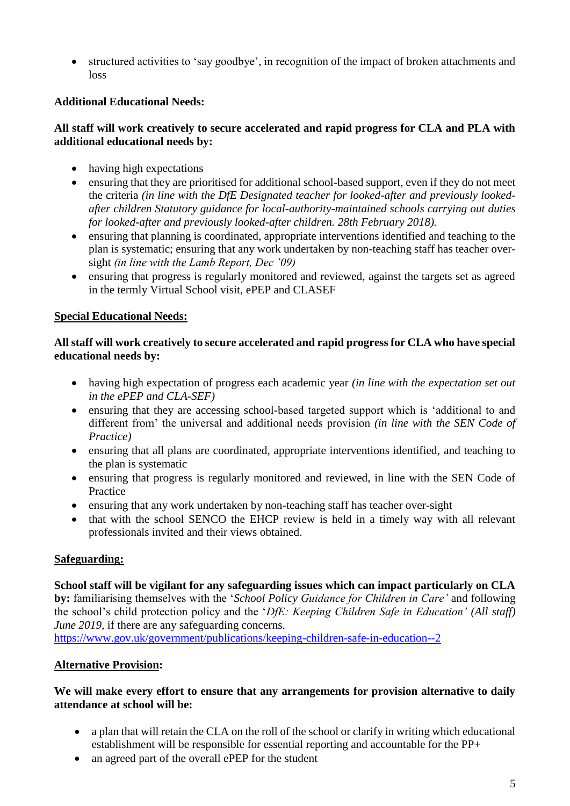structured activities to 'say goodbye', in recognition of the impact of broken attachments and loss

# **Additional Educational Needs:**

### **All staff will work creatively to secure accelerated and rapid progress for CLA and PLA with additional educational needs by:**

- having high expectations
- ensuring that they are prioritised for additional school-based support, even if they do not meet the criteria *(in line with the DfE Designated teacher for looked-after and previously lookedafter children Statutory guidance for local-authority-maintained schools carrying out duties for looked-after and previously looked-after children. 28th February 2018).*
- ensuring that planning is coordinated, appropriate interventions identified and teaching to the plan is systematic; ensuring that any work undertaken by non-teaching staff has teacher oversight *(in line with the Lamb Report, Dec '09)*
- ensuring that progress is regularly monitored and reviewed, against the targets set as agreed in the termly Virtual School visit, ePEP and CLASEF

### **Special Educational Needs:**

### **All staff will work creatively to secure accelerated and rapid progress for CLA who have special educational needs by:**

- having high expectation of progress each academic year *(in line with the expectation set out in the ePEP and CLA-SEF)*
- ensuring that they are accessing school-based targeted support which is 'additional to and different from' the universal and additional needs provision *(in line with the SEN Code of Practice)*
- ensuring that all plans are coordinated, appropriate interventions identified, and teaching to the plan is systematic
- ensuring that progress is regularly monitored and reviewed, in line with the SEN Code of Practice
- ensuring that any work undertaken by non-teaching staff has teacher over-sight
- that with the school SENCO the EHCP review is held in a timely way with all relevant professionals invited and their views obtained.

### **Safeguarding:**

# **School staff will be vigilant for any safeguarding issues which can impact particularly on CLA by:** familiarising themselves with the '*School Policy Guidance for Children in Care'* and following the school's child protection policy and the '*DfE: Keeping Children Safe in Education' (All staff) June 2019*, if there are any safeguarding concerns.

<https://www.gov.uk/government/publications/keeping-children-safe-in-education--2>

### **Alternative Provision:**

### **We will make every effort to ensure that any arrangements for provision alternative to daily attendance at school will be:**

- a plan that will retain the CLA on the roll of the school or clarify in writing which educational establishment will be responsible for essential reporting and accountable for the PP+
- an agreed part of the overall ePEP for the student